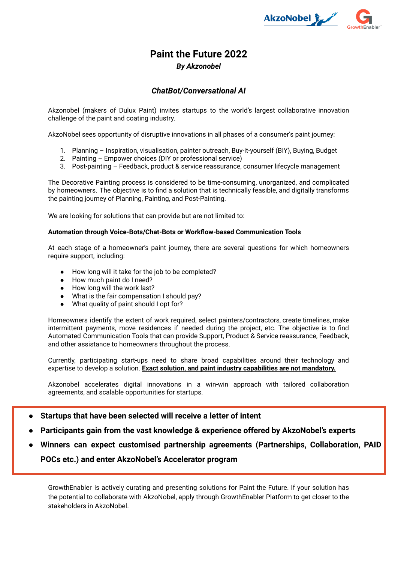

# **Paint the Future 2022**

# *By Akzonobel*

## *ChatBot/Conversational AI*

Akzonobel (makers of Dulux Paint) invites startups to the world's largest collaborative innovation challenge of the paint and coating industry.

AkzoNobel sees opportunity of disruptive innovations in all phases of a consumer's paint journey:

- 1. Planning Inspiration, visualisation, painter outreach, Buy-it-yourself (BIY), Buying, Budget
- 2. Painting Empower choices (DIY or professional service)
- 3. Post-painting Feedback, product & service reassurance, consumer lifecycle management

The Decorative Painting process is considered to be time-consuming, unorganized, and complicated by homeowners. The objective is to find a solution that is technically feasible, and digitally transforms the painting journey of Planning, Painting, and Post-Painting.

We are looking for solutions that can provide but are not limited to:

#### **Automation through Voice-Bots/Chat-Bots or Workflow-based Communication Tools**

At each stage of a homeowner's paint journey, there are several questions for which homeowners require support, including:

- How long will it take for the job to be completed?
- How much paint do I need?
- How long will the work last?
- What is the fair compensation I should pay?
- What quality of paint should I opt for?

Homeowners identify the extent of work required, select painters/contractors, create timelines, make intermittent payments, move residences if needed during the project, etc. The objective is to find Automated Communication Tools that can provide Support, Product & Service reassurance, Feedback, and other assistance to homeowners throughout the process.

Currently, participating start-ups need to share broad capabilities around their technology and expertise to develop a solution. **Exact solution, and paint industry capabilities are not mandatory.**

Akzonobel accelerates digital innovations in a win-win approach with tailored collaboration agreements, and scalable opportunities for startups.

- **● Startups that have been selected will receive a letter of intent**
- **● Participants gain from the vast knowledge & experience offered by AkzoNobel's experts**
- **Winners can expect customised partnership agreements (Partnerships, Collaboration, PAID POCs etc.) and enter AkzoNobel's Accelerator program**

GrowthEnabler is actively curating and presenting solutions for Paint the Future. If your solution has the potential to collaborate with AkzoNobel, apply through GrowthEnabler Platform to get closer to the stakeholders in AkzoNobel.